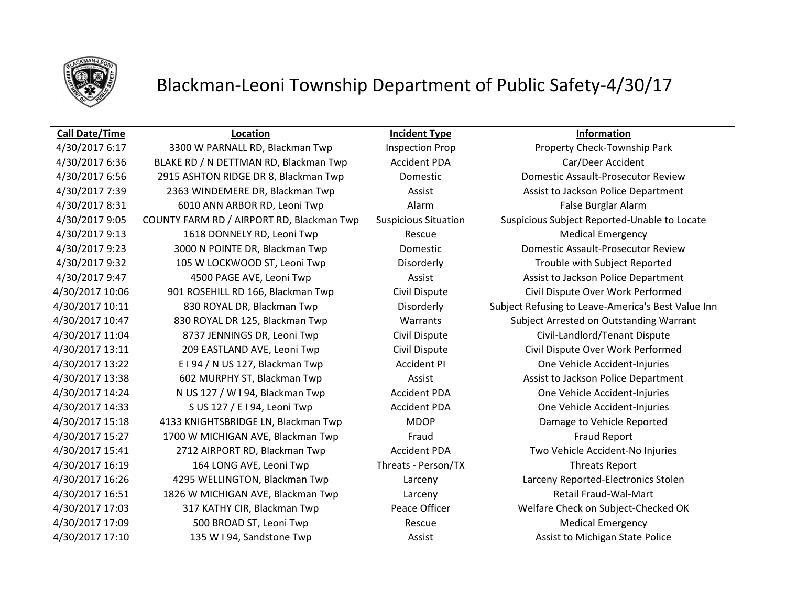

# Blackman-Leoni Township Department of Public Safety-4/30/17

4/30/2017 6:17 3300 W PARNALL RD, Blackman Twp Inspection Prop Property Check-Township Park 4/30/2017 6:36 BLAKE RD / N DETTMAN RD, Blackman Twp Accident PDA Car/Deer Accident 4/30/2017 6:56 2915 ASHTON RIDGE DR 8, Blackman Twp Domestic Domestic Assault-Prosecutor Review 4/30/2017 7:39 2363 WINDEMERE DR, Blackman Twp Assist Assist Assist to Jackson Police Department A/30/2017 8:31 6010 ANN ARBOR RD, Leoni Twp Alarm Alarm False Burglar Alarm 4/30/2017 9:05 COUNTY FARM RD / AIRPORT RD, Blackman Twp Suspicious Situation Suspicious Subject Reported-Unable to Locate A/30/2017 9:13 1618 DONNELY RD, Leoni Twp Rescue Rescue Medical Emergency 4/30/2017 9:23 3000 N POINTE DR, Blackman Twp Domestic Domestic Assault-Prosecutor Review 4/30/2017 9:32 105 W LOCKWOOD ST, Leoni Twp Disorderly Trouble with Subject Reported 4/30/2017 9:47 4500 PAGE AVE, Leoni Twp Assist Assist Assist to Jackson Police Department 4/30/2017 10:06 901 ROSEHILL RD 166, Blackman Twp Civil Dispute Civil Dispute Over Work Performed 4/30/2017 10:11 830 ROYAL DR, Blackman Twp Disorderly Subject Refusing to Leave-America's Best Value Inn 4/30/2017 10:47 830 ROYAL DR 125, Blackman Twp Warrants Subject Arrested on Outstanding Warrant 4/30/2017 11:04 8737 JENNINGS DR, Leoni Twp Civil Dispute Civil-Landlord/Tenant Dispute 4/30/2017 13:11 209 EASTLAND AVE, Leoni Twp Civil Dispute Civil Dispute Over Work Performed 4/30/2017 13:22 E I 94 / N US 127, Blackman Twp Accident PI One Vehicle Accident-Injuries 4/30/2017 13:38 602 MURPHY ST, Blackman Twp Assist Assist Assist to Jackson Police Department 4/30/2017 14:24 N US 127 / W I 94, Blackman Twp Accident PDA One Vehicle Accident-Injuries 4/30/2017 14:33 S US 127 / E I 94, Leoni Twp Accident PDA One Vehicle Accident-Injuries 4/30/2017 15:18 4133 KNIGHTSBRIDGE LN, Blackman Twp MDOP Damage to Vehicle Reported 4/30/2017 15:27 1700 W MICHIGAN AVE, Blackman Twp Fraud Fraud Report 4/30/2017 15:41 2712 AIRPORT RD, Blackman Twp Accident PDA Two Vehicle Accident-No Injuries 4/30/2017 16:19 164 LONG AVE, Leoni Twp Threats - Person/TX Threats Report 4/30/2017 16:26 4295 WELLINGTON, Blackman Twp Larceny Larceny Reported-Electronics Stolen 4/30/2017 16:51 1826 W MICHIGAN AVE, Blackman Twp Larceny Retail Fraud-Wal-Mart 4/30/2017 17:03 317 KATHY CIR, Blackman Twp Peace Officer Welfare Check on Subject-Checked OK A/30/2017 17:09 500 BROAD ST, Leoni Twp Rescue Rescue Medical Emergency 4/30/2017 17:10 135 W I 94, Sandstone Twp Assist Assist Assist Assist to Michigan State Police

**Call Date/Time Location Incident Type Information**